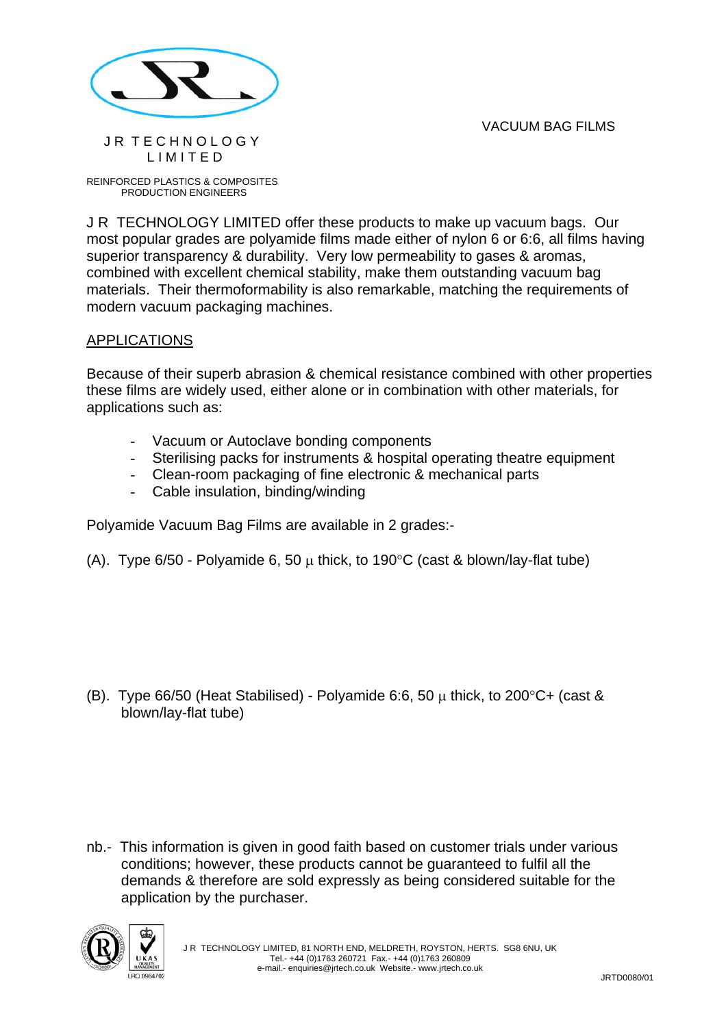VACUUM BAG FILMS



## JR TECHNOLOGY L I M I T E D

REINFORCED PLASTICS & COMPOSITES PRODUCTION ENGINEERS

J R TECHNOLOGY LIMITED offer these products to make up vacuum bags. Our most popular grades are polyamide films made either of nylon 6 or 6:6, all films having superior transparency & durability. Very low permeability to gases & aromas, combined with excellent chemical stability, make them outstanding vacuum bag materials. Their thermoformability is also remarkable, matching the requirements of modern vacuum packaging machines.

## APPLICATIONS

Because of their superb abrasion & chemical resistance combined with other properties these films are widely used, either alone or in combination with other materials, for applications such as:

- Vacuum or Autoclave bonding components
- Sterilising packs for instruments & hospital operating theatre equipment
- Clean-room packaging of fine electronic & mechanical parts
- Cable insulation, binding/winding

Polyamide Vacuum Bag Films are available in 2 grades:-

(A). Type  $6/50$  - Polyamide 6, 50  $\mu$  thick, to 190 $\degree$ C (cast & blown/lay-flat tube)

(B). Type 66/50 (Heat Stabilised) - Polyamide 6:6, 50  $\mu$  thick, to 200 $\degree$ C+ (cast & blown/lay-flat tube)

nb.- This information is given in good faith based on customer trials under various conditions; however, these products cannot be guaranteed to fulfil all the demands & therefore are sold expressly as being considered suitable for the application by the purchaser.